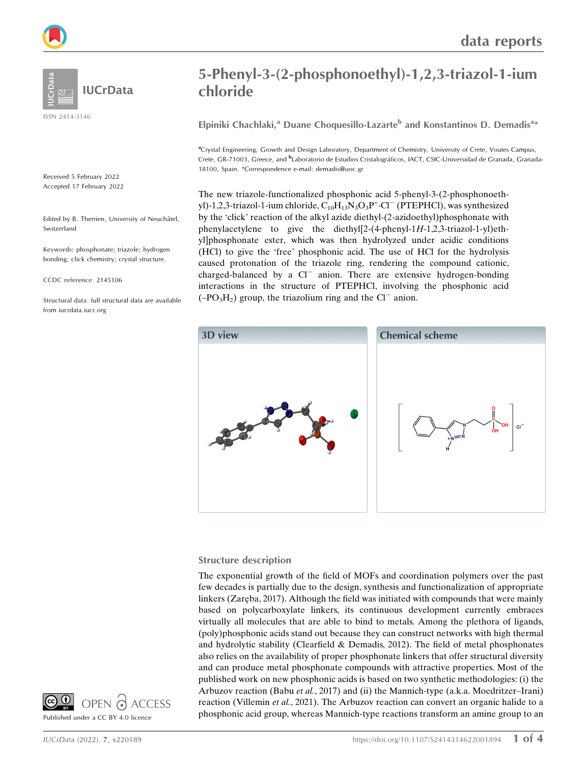

ISSN 2414-3146

Received 5 February 2022 Accepted 17 February 2022

Edited by B. Therrien, University of Neuchâtel, Switzerland

Keywords: phosphonate; triazole; hydrogen bonding; click chemistry; crystal structure.

CCDC reference: 2145106

Structural data: full structural data are available from iucrdata.iucr.org

# 5-Phenyl-3-(2-phosphonoethyl)-1,2,3-triazol-1-ium chloride

Elpiniki Chachlaki,<sup>a</sup> Duane Choquesillo-Lazarte<sup>b</sup> and Konstantinos D. Demadis<sup>a</sup>\*

a Crystal Engineering, Growth and Design Laboratory, Department of Chemistry, University of Crete, Voutes Campus, Crete, GR-71003, Greece, and <sup>b</sup>Laboratorio de Estudios Cristalográficos, IACT, CSIC-Universidad de Granada, Granada-18100, Spain. \*Correspondence e-mail: demadis@uoc.gr

The new triazole-functionalized phosphonic acid 5-phenyl-3-(2-phosphonoethyl)-1,2,3-triazol-1-ium chloride,  $C_{10}H_{13}N_3O_3P^{\dagger}$ ·Cl<sup>-</sup> (PTEPHCl), was synthesized by the 'click' reaction of the alkyl azide diethyl-(2-azidoethyl)phosphonate with phenylacetylene to give the diethyl[2-(4-phenyl-1H-1,2,3-triazol-1-yl)ethyl]phosphonate ester, which was then hydrolyzed under acidic conditions (HCl) to give the 'free' phosphonic acid. The use of HCl for the hydrolysis caused protonation of the triazole ring, rendering the compound cationic, charged-balanced by a  $Cl^-$  anion. There are extensive hydrogen-bonding interactions in the structure of PTEPHCl, involving the phosphonic acid  $(-PO<sub>3</sub>H<sub>2</sub>)$  group, the triazolium ring and the Cl<sup>-</sup> anion.



#### Structure description

The exponential growth of the field of MOFs and coordination polymers over the past few decades is partially due to the design, synthesis and functionalization of appropriate linkers (Zarēba, 2017). Although the field was initiated with compounds that were mainly based on polycarboxylate linkers, its continuous development currently embraces virtually all molecules that are able to bind to metals. Among the plethora of ligands, (poly)phosphonic acids stand out because they can construct networks with high thermal and hydrolytic stability (Clearfield & Demadis, 2012). The field of metal phosphonates also relies on the availability of proper phosphonate linkers that offer structural diversity and can produce metal phosphonate compounds with attractive properties. Most of the published work on new phosphonic acids is based on two synthetic methodologies: (i) the Arbuzov reaction (Babu et al., 2017) and (ii) the Mannich-type (a.k.a. Moedritzer–Irani) reaction (Villemin et al., 2021). The Arbuzov reaction can convert an organic halide to a phosphonic acid group, whereas Mannich-type reactions transform an amine group to an

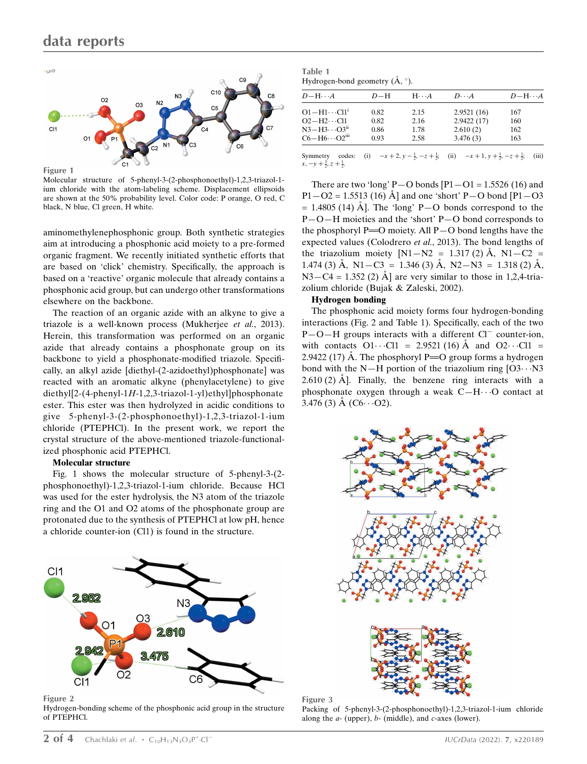

Figure 1

Molecular structure of 5-phenyl-3-(2-phosphonoethyl)-1,2,3-triazol-1 ium chloride with the atom-labeling scheme. Displacement ellipsoids are shown at the 50% probability level. Color code: P orange, O red, C black, N blue, Cl green, H white.

aminomethylenephosphonic group. Both synthetic strategies aim at introducing a phosphonic acid moiety to a pre-formed organic fragment. We recently initiated synthetic efforts that are based on 'click' chemistry. Specifically, the approach is based on a 'reactive' organic molecule that already contains a phosphonic acid group, but can undergo other transformations elsewhere on the backbone.

The reaction of an organic azide with an alkyne to give a triazole is a well-known process (Mukherjee et al., 2013). Herein, this transformation was performed on an organic azide that already contains a phosphonate group on its backbone to yield a phosphonate-modified triazole. Specifically, an alkyl azide [diethyl-(2-azidoethyl)phosphonate] was reacted with an aromatic alkyne (phenylacetylene) to give diethyl[2-(4-phenyl-1H-1,2,3-triazol-1-yl)ethyl]phosphonate ester. This ester was then hydrolyzed in acidic conditions to give 5-phenyl-3-(2-phosphonoethyl)-1,2,3-triazol-1-ium chloride (PTEPHCl). In the present work, we report the crystal structure of the above-mentioned triazole-functionalized phosphonic acid PTEPHCl.

#### Molecular structure

Fig. 1 shows the molecular structure of 5-phenyl-3-(2 phosphonoethyl)-1,2,3-triazol-1-ium chloride. Because HCl was used for the ester hydrolysis, the N3 atom of the triazole ring and the O1 and O2 atoms of the phosphonate group are protonated due to the synthesis of PTEPHCl at low pH, hence a chloride counter-ion (Cl1) is found in the structure.



Figure 2 Hydrogen-bonding scheme of the phosphonic acid group in the structure of PTEPHCl.

| Table 1                                            |  |  |
|----------------------------------------------------|--|--|
| Hydrogen-bond geometry $(\mathring{A}, \degree)$ . |  |  |

| $D-\mathrm{H}\cdots A$            | $D-H$ | $H\cdot\cdot\cdot A$ | $D\cdot\cdot\cdot A$ | $D - H \cdots A$ |
|-----------------------------------|-------|----------------------|----------------------|------------------|
| $O1 - H1 \cdots Cl1^1$            | 0.82  | 2.15                 | 2.9521(16)           | 167              |
| $O2-H2\cdots$ Cl1                 | 0.82  | 2.16                 | 2.9422(17)           | 160              |
| $N3 - H3 \cdots O3$ <sup>ii</sup> | 0.86  | 1.78                 | 2.610(2)             | 162              |
| $C6 - H6 \cdot \cdot \cdot O2iii$ | 0.93  | 2.58                 | 3.476(3)             | 163              |
|                                   |       |                      |                      |                  |

Symmetry codes:  $(i)$  $\frac{1}{2}$ ,  $-z + \frac{1}{2}$ ; (ii)  $-x + 1$ ,  $y + \frac{1}{2}$ ,  $-z + \frac{1}{2}$ ; (iii)  $x, -y + \frac{3}{2}, z + \frac{1}{2}$ 

There are two 'long' P $-$ O bonds [P $1 -$ O $1 = 1.5526$  (16) and  $P1 - O2 = 1.5513$  (16)  $\AA$  and one 'short' P-O bond [P1-O3]  $= 1.4805$  (14) Å. The 'long' P-O bonds correspond to the P—O—H moieties and the 'short' P—O bond corresponds to the phosphoryl P= $\overline{O}$  moiety. All P $-\overline{O}$  bond lengths have the expected values (Colodrero et al., 2013). The bond lengths of the triazolium moiety  $[N1-N2 = 1.317(2) \text{ Å}, N1-C2 =$ 1.474 (3)  $\AA$ , N1-C3 = 1.346 (3)  $\AA$ , N2-N3 = 1.318 (2)  $\AA$ ,  $N3 - C4 = 1.352$  (2)  $\AA$  are very similar to those in 1,2,4-triazolium chloride (Bujak & Zaleski, 2002).

#### Hydrogen bonding

The phosphonic acid moiety forms four hydrogen-bonding interactions (Fig. 2 and Table 1). Specifically, each of the two  $P-O-H$  groups interacts with a different  $Cl^-$  counter-ion, with contacts  $O1 \cdot \cdot \cdot Cl1 = 2.9521 (16)$  Å and  $O2 \cdot \cdot \cdot Cl1 =$ 2.9422 (17) Å. The phosphoryl  $P = O$  group forms a hydrogen bond with the N-H portion of the triazolium ring  $[03 \cdots N3]$  $2.610(2)$  Å. Finally, the benzene ring interacts with a phosphonate oxygen through a weak  $C-H \cdots O$  contact at  $3.476(3)$  Å (C6 $\cdots$ O2).



Figure 3 Packing of 5-phenyl-3-(2-phosphonoethyl)-1,2,3-triazol-1-ium chloride along the  $a$ - (upper),  $b$ - (middle), and  $c$ -axes (lower).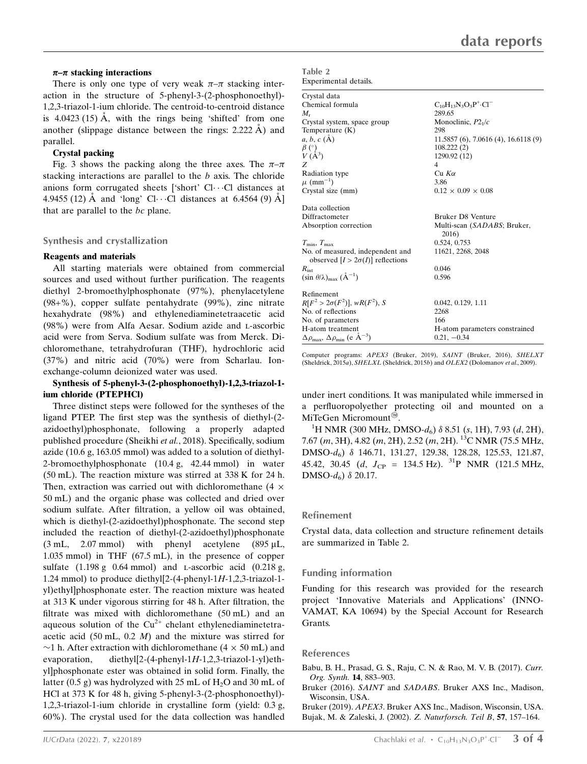#### $\pi-\pi$  stacking interactions

There is only one type of very weak  $\pi-\pi$  stacking interaction in the structure of 5-phenyl-3-(2-phosphonoethyl)- 1,2,3-triazol-1-ium chloride. The centroid-to-centroid distance is  $4.0423(15)$  Å, with the rings being 'shifted' from one another (slippage distance between the rings:  $2.222 \text{ Å}$ ) and parallel.

#### Crystal packing

Fig. 3 shows the packing along the three axes. The  $\pi-\pi$ stacking interactions are parallel to the b axis. The chloride anions form corrugated sheets ['short' Cl···Cl distances at 4.9455 (12)  $\AA$  and 'long' Cl···Cl distances at 6.4564 (9)  $\AA$ ] that are parallel to the bc plane.

#### Synthesis and crystallization

#### Reagents and materials

All starting materials were obtained from commercial sources and used without further purification. The reagents diethyl 2-bromoethylphosphonate (97%), phenylacetylene (98+%), copper sulfate pentahydrate (99%), zinc nitrate hexahydrate (98%) and ethylenediaminetetraacetic acid (98%) were from Alfa Aesar. Sodium azide and l-ascorbic acid were from Serva. Sodium sulfate was from Merck. Dichloromethane, tetrahydrofuran (THF), hydrochloric acid (37%) and nitric acid (70%) were from Scharlau. Ionexchange-column deionized water was used.

#### Synthesis of 5-phenyl-3-(2-phosphonoethyl)-1,2,3-triazol-1 ium chloride (PTEPHCl)

Three distinct steps were followed for the syntheses of the ligand PTEP. The first step was the synthesis of diethyl-(2 azidoethyl)phosphonate, following a properly adapted published procedure (Sheikhi et al., 2018). Specifically, sodium azide (10.6 g, 163.05 mmol) was added to a solution of diethyl-2-bromoethylphosphonate (10.4 g, 42.44 mmol) in water (50 mL). The reaction mixture was stirred at 338 K for 24 h. Then, extraction was carried out with dichloromethane  $(4 \times$ 50 mL) and the organic phase was collected and dried over sodium sulfate. After filtration, a yellow oil was obtained, which is diethyl-(2-azidoethyl)phosphonate. The second step included the reaction of diethyl-(2-azidoethyl)phosphonate  $(3 \text{ mL}, 2.07 \text{ mmol})$  with phenyl acetylene  $(895 \mu L,$ 1.035 mmol) in THF (67.5 mL), in the presence of copper sulfate  $(1.198 \text{ g} \cdot 0.64 \text{ mmol})$  and *L*-ascorbic acid  $(0.218 \text{ g}$ , 1.24 mmol) to produce diethyl[2-(4-phenyl-1H-1,2,3-triazol-1 yl)ethyl]phosphonate ester. The reaction mixture was heated at 313 K under vigorous stirring for 48 h. After filtration, the filtrate was mixed with dichloromethane (50 mL) and an aqueous solution of the  $Cu^{2+}$  chelant ethylenediaminetetraacetic acid  $(50 \text{ mL}, 0.2 \text{ M})$  and the mixture was stirred for  $\sim$ 1 h. After extraction with dichloromethane (4  $\times$  50 mL) and evaporation, diethyl[2-(4-phenyl-1H-1,2,3-triazol-1-yl)ethyl]phosphonate ester was obtained in solid form. Finally, the latter (0.5 g) was hydrolyzed with 25 mL of  $H_2O$  and 30 mL of HCl at 373 K for 48 h, giving 5-phenyl-3-(2-phosphonoethyl)- 1,2,3-triazol-1-ium chloride in crystalline form (yield: 0.3 g, 60%). The crystal used for the data collection was handled

| Table 2               |  |
|-----------------------|--|
| Experimental details. |  |

| Crystal data                                                                 |                                             |
|------------------------------------------------------------------------------|---------------------------------------------|
| Chemical formula                                                             | $C_{10}H_{13}N_3O_3P^+ \cdot Cl^-$          |
| $M_{r}$                                                                      | 289.65                                      |
| Crystal system, space group                                                  | Monoclinic, $P2_1/c$                        |
| Temperature $(K)$                                                            | 298                                         |
| $a, b, c (\AA)$                                                              | $11.5857(6)$ , 7.0616 $(4)$ , 16.6118 $(9)$ |
|                                                                              | 108.222(2)                                  |
| $\overset{\beta}{V}{}_{A}^{(\circ)}$ )                                       | 1290.92 (12)                                |
| Z                                                                            | 4                                           |
| Radiation type                                                               | $Cu$ K $\alpha$                             |
| $\mu$ (mm <sup>-1</sup> )                                                    | 3.86                                        |
| Crystal size (mm)                                                            | $0.12 \times 0.09 \times 0.08$              |
| Data collection                                                              |                                             |
| Diffractometer                                                               | Bruker D8 Venture                           |
| Absorption correction                                                        | Multi-scan (SADABS; Bruker,<br>2016)        |
| $T_{\min}, T_{\max}$                                                         | 0.524, 0.753                                |
| No. of measured, independent and<br>observed $[I > 2\sigma(I)]$ reflections  | 11621, 2268, 2048                           |
| $R_{\rm int}$                                                                | 0.046                                       |
| $(\sin \theta/\lambda)_{\text{max}}$ $(\text{\AA}^{-1})$                     | 0.596                                       |
| Refinement                                                                   |                                             |
| $R[F^2 > 2\sigma(F^2)], wR(F^2), S$                                          | 0.042, 0.129, 1.11                          |
| No. of reflections                                                           | 2268                                        |
| No. of parameters                                                            | 166                                         |
| H-atom treatment                                                             | H-atom parameters constrained               |
| $\Delta \rho_{\text{max}}$ , $\Delta \rho_{\text{min}}$ (e Å <sup>-3</sup> ) | $0.21, -0.34$                               |

Computer programs: APEX3 (Bruker, 2019), SAINT (Bruker, 2016), SHELXT (Sheldrick, 2015a), SHELXL (Sheldrick, 2015b) and OLEX2 (Dolomanov et al., 2009).

under inert conditions. It was manipulated while immersed in a perfluoropolyether protecting oil and mounted on a MiTeGen Micromount<sup><sup>®</sup>.</sup>

<sup>1</sup>H NMR (300 MHz, DMSO- $d_6$ )  $\delta$  8.51 (s, 1H), 7.93 (d, 2H), 7.67 (m, 3H), 4.82 (m, 2H), 2.52 (m, 2H). <sup>13</sup>C NMR (75.5 MHz, DMSO-d<sub>6</sub>)  $\delta$  146.71, 131.27, 129.38, 128.28, 125.53, 121.87, 45.42, 30.45 (d,  $J_{CP} = 134.5$  Hz). <sup>31</sup>P NMR (121.5 MHz, DMSO- $d_6$ )  $\delta$  20.17.

#### Refinement

Crystal data, data collection and structure refinement details are summarized in Table 2.

#### Funding information

Funding for this research was provided for the research project 'Innovative Materials and Applications' (INNO-VAMAT, KA 10694) by the Special Account for Research Grants.

#### References

- [Babu, B. H., Prasad, G. S., Raju, C. N. & Rao, M. V. B. \(2017\).](http://scripts.iucr.org/cgi-bin/cr.cgi?rm=pdfbb&cnor=tx4001&bbid=BB1) Curr. [Org. Synth.](http://scripts.iucr.org/cgi-bin/cr.cgi?rm=pdfbb&cnor=tx4001&bbid=BB1) 14, 883–903.
- Bruker (2016). SAINT and SADABS[. Bruker AXS Inc., Madison,](http://scripts.iucr.org/cgi-bin/cr.cgi?rm=pdfbb&cnor=tx4001&bbid=BB2) [Wisconsin, USA.](http://scripts.iucr.org/cgi-bin/cr.cgi?rm=pdfbb&cnor=tx4001&bbid=BB2)

Bruker (2019). APEX3[. Bruker AXS Inc., Madison, Wisconsin, USA.](http://scripts.iucr.org/cgi-bin/cr.cgi?rm=pdfbb&cnor=tx4001&bbid=BB3) [Bujak, M. & Zaleski, J. \(2002\).](http://scripts.iucr.org/cgi-bin/cr.cgi?rm=pdfbb&cnor=tx4001&bbid=BB4) Z. Naturforsch. Teil B, 57, 157–164.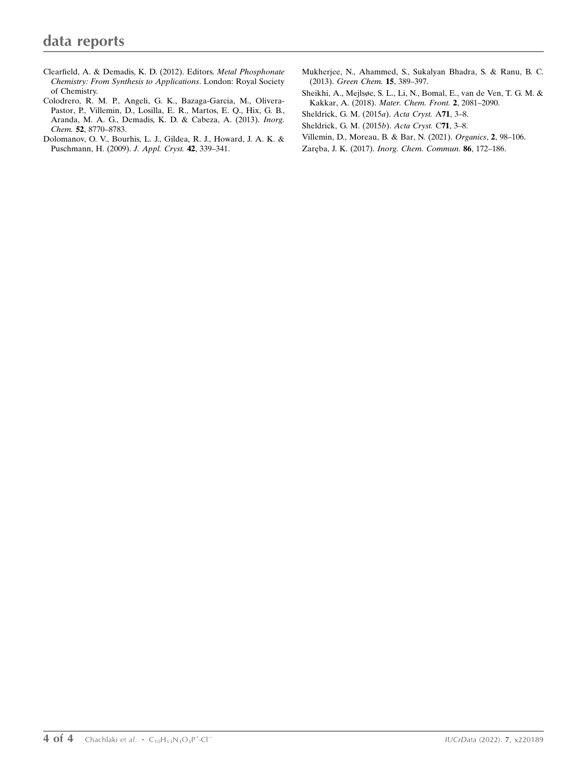- [Clearfield, A. & Demadis, K. D. \(2012\). Editors.](http://scripts.iucr.org/cgi-bin/cr.cgi?rm=pdfbb&cnor=tx4001&bbid=BB12) Metal Phosphonate [Chemistry: From Synthesis to Applications](http://scripts.iucr.org/cgi-bin/cr.cgi?rm=pdfbb&cnor=tx4001&bbid=BB12). London: Royal Society [of Chemistry.](http://scripts.iucr.org/cgi-bin/cr.cgi?rm=pdfbb&cnor=tx4001&bbid=BB12)
- [Colodrero, R. M. P., Angeli, G. K., Bazaga-Garcia, M., Olivera-](http://scripts.iucr.org/cgi-bin/cr.cgi?rm=pdfbb&cnor=tx4001&bbid=BB6)[Pastor, P., Villemin, D., Losilla, E. R., Martos, E. Q., Hix, G. B.,](http://scripts.iucr.org/cgi-bin/cr.cgi?rm=pdfbb&cnor=tx4001&bbid=BB6) [Aranda, M. A. G., Demadis, K. D. & Cabeza, A. \(2013\).](http://scripts.iucr.org/cgi-bin/cr.cgi?rm=pdfbb&cnor=tx4001&bbid=BB6) Inorg. Chem. 52[, 8770–8783.](http://scripts.iucr.org/cgi-bin/cr.cgi?rm=pdfbb&cnor=tx4001&bbid=BB6)
- [Dolomanov, O. V., Bourhis, L. J., Gildea, R. J., Howard, J. A. K. &](http://scripts.iucr.org/cgi-bin/cr.cgi?rm=pdfbb&cnor=tx4001&bbid=BB7) [Puschmann, H. \(2009\).](http://scripts.iucr.org/cgi-bin/cr.cgi?rm=pdfbb&cnor=tx4001&bbid=BB7) J. Appl. Cryst. 42, 339–341.
- [Mukherjee, N., Ahammed, S., Sukalyan Bhadra, S. & Ranu, B. C.](http://scripts.iucr.org/cgi-bin/cr.cgi?rm=pdfbb&cnor=tx4001&bbid=BB8) (2013). [Green Chem.](http://scripts.iucr.org/cgi-bin/cr.cgi?rm=pdfbb&cnor=tx4001&bbid=BB8) 15, 389–397.
- [Sheikhi, A., Mejlsøe, S. L., Li, N., Bomal, E., van de Ven, T. G. M. &](http://scripts.iucr.org/cgi-bin/cr.cgi?rm=pdfbb&cnor=tx4001&bbid=BB9) Kakkar, A. (2018). [Mater. Chem. Front.](http://scripts.iucr.org/cgi-bin/cr.cgi?rm=pdfbb&cnor=tx4001&bbid=BB9) 2, 2081–2090.
- [Sheldrick, G. M. \(2015](http://scripts.iucr.org/cgi-bin/cr.cgi?rm=pdfbb&cnor=tx4001&bbid=BB10)a). Acta Cryst. A71, 3–8.
- [Sheldrick, G. M. \(2015](http://scripts.iucr.org/cgi-bin/cr.cgi?rm=pdfbb&cnor=tx4001&bbid=BB11)b). Acta Cryst. C71, 3–8.
- [Villemin, D., Moreau, B. & Bar, N. \(2021\).](http://scripts.iucr.org/cgi-bin/cr.cgi?rm=pdfbb&cnor=tx4001&bbid=BB12) Organics, 2, 98–106.
- Zaręba, J. K. (2017). [Inorg. Chem. Commun.](http://scripts.iucr.org/cgi-bin/cr.cgi?rm=pdfbb&cnor=tx4001&bbid=BB13) 86, 172-186.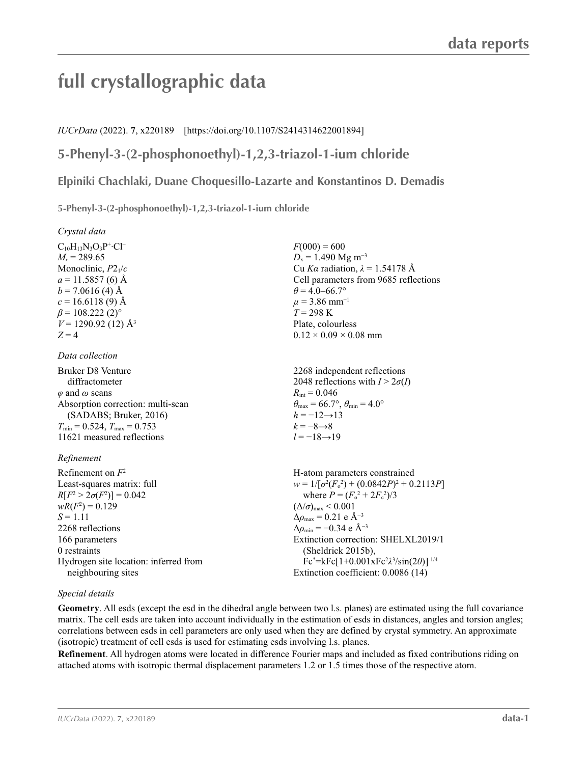# **full crystallographic data**

## *IUCrData* (2022). **7**, x220189 [https://doi.org/10.1107/S2414314622001894]

# **5-Phenyl-3-(2-phosphonoethyl)-1,2,3-triazol-1-ium chloride**

## **Elpiniki Chachlaki, Duane Choquesillo-Lazarte and Konstantinos D. Demadis**

 $F(000) = 600$  $D_x = 1.490$  Mg m<sup>-3</sup>

 $\theta$  = 4.0–66.7°  $\mu$  = 3.86 mm<sup>-1</sup>  $T = 298$  K Plate, colourless  $0.12 \times 0.09 \times 0.08$  mm

 $R_{\text{int}} = 0.046$ 

 $h = -12 \rightarrow 13$  $k = -8 \rightarrow 8$ *l* = −18→19

Cu *Kα* radiation, *λ* = 1.54178 Å Cell parameters from 9685 reflections

2268 independent reflections 2048 reflections with  $I > 2\sigma(I)$ 

 $\theta_{\text{max}} = 66.7^{\circ}, \theta_{\text{min}} = 4.0^{\circ}$ 

**5-Phenyl-3-(2-phosphonoethyl)-1,2,3-triazol-1-ium chloride** 

*Crystal data*

 $C_{10}H_{13}N_3O_3P^+·Cl^ M_r = 289.65$ Monoclinic, *P*21/*c*  $a = 11.5857(6)$  Å  $b = 7.0616(4)$  Å  $c = 16.6118(9)$  Å  $\beta$  = 108.222 (2)<sup>o</sup>  $V = 1290.92$  (12) Å<sup>3</sup>  $Z = 4$ 

*Data collection*

Bruker D8 Venture diffractometer *φ* and *ω* scans Absorption correction: multi-scan (SADABS; Bruker, 2016)  $T_{\text{min}} = 0.524, T_{\text{max}} = 0.753$ 11621 measured reflections

#### *Refinement*

Refinement on *F*<sup>2</sup> Least-squares matrix: full  $R[F^2 > 2\sigma(F^2)] = 0.042$  $wR(F^2) = 0.129$  $S = 1.11$ 2268 reflections 166 parameters 0 restraints Hydrogen site location: inferred from neighbouring sites H-atom parameters constrained  $w = 1/[\sigma^2 (F_o^2) + (0.0842P)^2 + 0.2113P]$ where  $P = (F_o^2 + 2F_c^2)/3$  $(\Delta/\sigma)_{\text{max}}$  < 0.001  $\Delta\rho_{\text{max}} = 0.21$  e Å<sup>-3</sup>  $\Delta\rho_{\rm min} = -0.34 \text{ e A}^{-3}$ Extinction correction: SHELXL2019/1 (Sheldrick 2015b), Fc\* =kFc[1+0.001xFc2 *λ*3 /sin(2*θ*)]-1/4 Extinction coefficient: 0.0086 (14)

### *Special details*

**Geometry**. All esds (except the esd in the dihedral angle between two l.s. planes) are estimated using the full covariance matrix. The cell esds are taken into account individually in the estimation of esds in distances, angles and torsion angles; correlations between esds in cell parameters are only used when they are defined by crystal symmetry. An approximate (isotropic) treatment of cell esds is used for estimating esds involving l.s. planes.

**Refinement**. All hydrogen atoms were located in difference Fourier maps and included as fixed contributions riding on attached atoms with isotropic thermal displacement parameters 1.2 or 1.5 times those of the respective atom.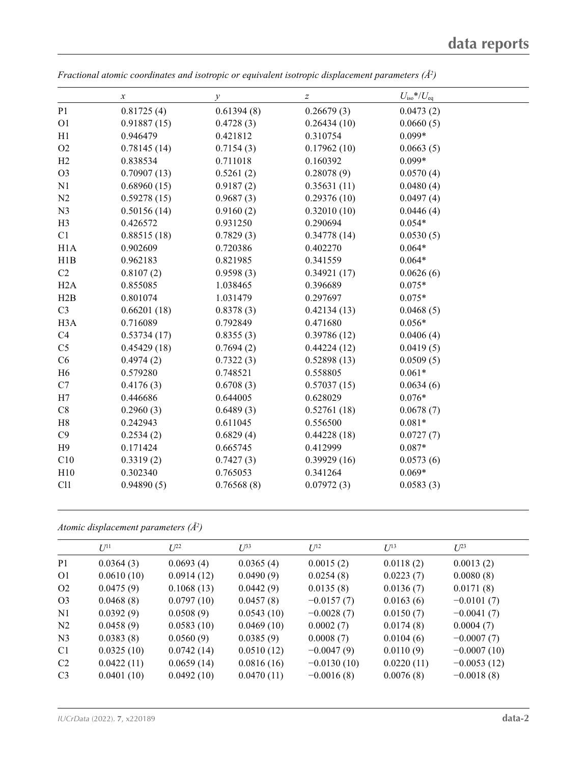|                  | $\boldsymbol{x}$ | $\mathcal{Y}$ | $\boldsymbol{Z}$ | $U_{\rm iso}*/U_{\rm eq}$ |  |
|------------------|------------------|---------------|------------------|---------------------------|--|
| P <sub>1</sub>   | 0.81725(4)       | 0.61394(8)    | 0.26679(3)       | 0.0473(2)                 |  |
| O <sub>1</sub>   | 0.91887(15)      | 0.4728(3)     | 0.26434(10)      | 0.0660(5)                 |  |
| H1               | 0.946479         | 0.421812      | 0.310754         | $0.099*$                  |  |
| O <sub>2</sub>   | 0.78145(14)      | 0.7154(3)     | 0.17962(10)      | 0.0663(5)                 |  |
| H2               | 0.838534         | 0.711018      | 0.160392         | $0.099*$                  |  |
| O <sub>3</sub>   | 0.70907(13)      | 0.5261(2)     | 0.28078(9)       | 0.0570(4)                 |  |
| N1               | 0.68960(15)      | 0.9187(2)     | 0.35631(11)      | 0.0480(4)                 |  |
| N2               | 0.59278(15)      | 0.9687(3)     | 0.29376(10)      | 0.0497(4)                 |  |
| N <sub>3</sub>   | 0.50156(14)      | 0.9160(2)     | 0.32010(10)      | 0.0446(4)                 |  |
| H <sub>3</sub>   | 0.426572         | 0.931250      | 0.290694         | $0.054*$                  |  |
| C1               | 0.88515(18)      | 0.7829(3)     | 0.34778(14)      | 0.0530(5)                 |  |
| H1A              | 0.902609         | 0.720386      | 0.402270         | $0.064*$                  |  |
| H1B              | 0.962183         | 0.821985      | 0.341559         | $0.064*$                  |  |
| C2               | 0.8107(2)        | 0.9598(3)     | 0.34921(17)      | 0.0626(6)                 |  |
| H2A              | 0.855085         | 1.038465      | 0.396689         | $0.075*$                  |  |
| H2B              | 0.801074         | 1.031479      | 0.297697         | $0.075*$                  |  |
| C <sub>3</sub>   | 0.66201(18)      | 0.8378(3)     | 0.42134(13)      | 0.0468(5)                 |  |
| H <sub>3</sub> A | 0.716089         | 0.792849      | 0.471680         | $0.056*$                  |  |
| C4               | 0.53734(17)      | 0.8355(3)     | 0.39786(12)      | 0.0406(4)                 |  |
| C <sub>5</sub>   | 0.45429(18)      | 0.7694(2)     | 0.44224(12)      | 0.0419(5)                 |  |
| C6               | 0.4974(2)        | 0.7322(3)     | 0.52898(13)      | 0.0509(5)                 |  |
| H <sub>6</sub>   | 0.579280         | 0.748521      | 0.558805         | $0.061*$                  |  |
| C7               | 0.4176(3)        | 0.6708(3)     | 0.57037(15)      | 0.0634(6)                 |  |
| H7               | 0.446686         | 0.644005      | 0.628029         | $0.076*$                  |  |
| C8               | 0.2960(3)        | 0.6489(3)     | 0.52761(18)      | 0.0678(7)                 |  |
| H8               | 0.242943         | 0.611045      | 0.556500         | $0.081*$                  |  |
| C9               | 0.2534(2)        | 0.6829(4)     | 0.44228(18)      | 0.0727(7)                 |  |
| H9               | 0.171424         | 0.665745      | 0.412999         | $0.087*$                  |  |
| C10              | 0.3319(2)        | 0.7427(3)     | 0.39929(16)      | 0.0573(6)                 |  |
| H10              | 0.302340         | 0.765053      | 0.341264         | $0.069*$                  |  |
| C11              | 0.94890(5)       | 0.76568(8)    | 0.07972(3)       | 0.0583(3)                 |  |

*Fractional atomic coordinates and isotropic or equivalent isotropic displacement parameters (Å<sup>2</sup>)* 

*Atomic displacement parameters (Å2 )*

|                | $U^{11}$   | $L^{22}$   | $I^{\beta 3}$ | $U^{12}$      | $U^{13}$   | $L^{23}$      |
|----------------|------------|------------|---------------|---------------|------------|---------------|
| P <sub>1</sub> | 0.0364(3)  | 0.0693(4)  | 0.0365(4)     | 0.0015(2)     | 0.0118(2)  | 0.0013(2)     |
| O <sub>1</sub> | 0.0610(10) | 0.0914(12) | 0.0490(9)     | 0.0254(8)     | 0.0223(7)  | 0.0080(8)     |
| O <sub>2</sub> | 0.0475(9)  | 0.1068(13) | 0.0442(9)     | 0.0135(8)     | 0.0136(7)  | 0.0171(8)     |
| O <sub>3</sub> | 0.0468(8)  | 0.0797(10) | 0.0457(8)     | $-0.0157(7)$  | 0.0163(6)  | $-0.0101(7)$  |
| N <sub>1</sub> | 0.0392(9)  | 0.0508(9)  | 0.0543(10)    | $-0.0028(7)$  | 0.0150(7)  | $-0.0041(7)$  |
| N <sub>2</sub> | 0.0458(9)  | 0.0583(10) | 0.0469(10)    | 0.0002(7)     | 0.0174(8)  | 0.0004(7)     |
| N <sub>3</sub> | 0.0383(8)  | 0.0560(9)  | 0.0385(9)     | 0.0008(7)     | 0.0104(6)  | $-0.0007(7)$  |
| C1             | 0.0325(10) | 0.0742(14) | 0.0510(12)    | $-0.0047(9)$  | 0.0110(9)  | $-0.0007(10)$ |
| C <sub>2</sub> | 0.0422(11) | 0.0659(14) | 0.0816(16)    | $-0.0130(10)$ | 0.0220(11) | $-0.0053(12)$ |
| C <sub>3</sub> | 0.0401(10) | 0.0492(10) | 0.0470(11)    | $-0.0016(8)$  | 0.0076(8)  | $-0.0018(8)$  |
|                |            |            |               |               |            |               |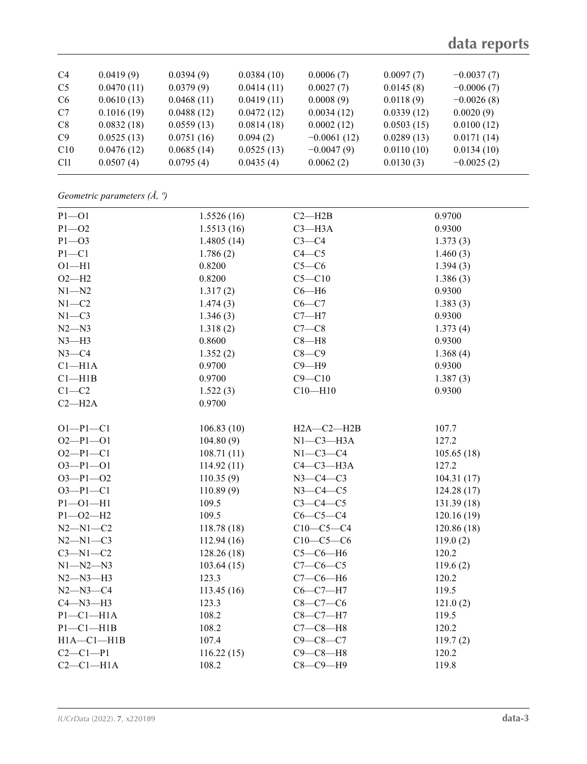| C <sub>4</sub>  | 0.0419(9)  | 0.0394(9)  | 0.0384(10) | 0.0006(7)     | 0.0097(7)  | $-0.0037(7)$ |
|-----------------|------------|------------|------------|---------------|------------|--------------|
| C <sub>5</sub>  | 0.0470(11) | 0.0379(9)  | 0.0414(11) | 0.0027(7)     | 0.0145(8)  | $-0.0006(7)$ |
| C <sub>6</sub>  | 0.0610(13) | 0.0468(11) | 0.0419(11) | 0.0008(9)     | 0.0118(9)  | $-0.0026(8)$ |
| C7              | 0.1016(19) | 0.0488(12) | 0.0472(12) | 0.0034(12)    | 0.0339(12) | 0.0020(9)    |
| C8              | 0.0832(18) | 0.0559(13) | 0.0814(18) | 0.0002(12)    | 0.0503(15) | 0.0100(12)   |
| C9              | 0.0525(13) | 0.0751(16) | 0.094(2)   | $-0.0061(12)$ | 0.0289(13) | 0.0171(14)   |
| C10             | 0.0476(12) | 0.0685(14) | 0.0525(13) | $-0.0047(9)$  | 0.0110(10) | 0.0134(10)   |
| C <sub>11</sub> | 0.0507(4)  | 0.0795(4)  | 0.0435(4)  | 0.0062(2)     | 0.0130(3)  | $-0.0025(2)$ |
|                 |            |            |            |               |            |              |

*Geometric parameters (Å, º)*

| $P1 - O1$        | 1.5526(16) | $C2 - H2B$       | 0.9700     |
|------------------|------------|------------------|------------|
| $P1 - O2$        | 1.5513(16) | $C3 - H3A$       | 0.9300     |
| $P1 - O3$        | 1.4805(14) | $C3-C4$          | 1.373(3)   |
| $P1 - C1$        | 1.786(2)   | $C4 - C5$        | 1.460(3)   |
| $O1 - H1$        | 0.8200     | $C5-C6$          | 1.394(3)   |
| $O2-H2$          | 0.8200     | $C5 - C10$       | 1.386(3)   |
| $N1 - N2$        | 1.317(2)   | $C6 - H6$        | 0.9300     |
| $N1 - C2$        | 1.474(3)   | $C6-C7$          | 1.383(3)   |
| $N1 - C3$        | 1.346(3)   | $C7 - H7$        | 0.9300     |
| $N2 - N3$        | 1.318(2)   | $C7-C8$          | 1.373(4)   |
| $N3-H3$          | 0.8600     | $C8 - H8$        | 0.9300     |
| $N3-C4$          | 1.352(2)   | $C8-C9$          | 1.368(4)   |
| $C1 - H1A$       | 0.9700     | $C9 - H9$        | 0.9300     |
| $Cl$ -H1B        | 0.9700     | $C9 - C10$       | 1.387(3)   |
| $C1-C2$          | 1.522(3)   | $C10 - H10$      | 0.9300     |
| $C2 - H2A$       | 0.9700     |                  |            |
| $O1-P1-C1$       | 106.83(10) | $H2A - C2 - H2B$ | 107.7      |
| $O2-P1-O1$       | 104.80(9)  | $N1-C3-H3A$      | 127.2      |
| $O2-P1-C1$       | 108.71(11) | $N1-C3-C4$       | 105.65(18) |
| $O3 - P1 - O1$   | 114.92(11) | $C4-C3-H3A$      | 127.2      |
| $O3 - P1 - O2$   | 110.35(9)  | $N3-C4-C3$       | 104.31(17) |
| $O3 - P1 - C1$   | 110.89(9)  | $N3-C4-C5$       | 124.28(17) |
| $P1 - O1 - H1$   | 109.5      | $C3-C4-C5$       | 131.39(18) |
| $P1 - O2 - H2$   | 109.5      | $C6-C5-C4$       | 120.16(19) |
| $N2 - N1 - C2$   | 118.78(18) | $C10-C5-C4$      | 120.86(18) |
| $N2 - N1 - C3$   | 112.94(16) | $C10-C5-C6$      | 119.0(2)   |
| $C3-M1-C2$       | 128.26(18) | $C5-C6-H6$       | 120.2      |
| $N1 - N2 - N3$   | 103.64(15) | $C7-C6-C5$       | 119.6(2)   |
| $N2 - N3 - H3$   | 123.3      | $C7-C6-H6$       | 120.2      |
| $N2 - N3 - C4$   | 113.45(16) | $C6-C7-H7$       | 119.5      |
| $C4 - N3 - H3$   | 123.3      | $C8 - C7 - C6$   | 121.0(2)   |
| $P1 - C1 - H1A$  | 108.2      | $C8 - C7 - H7$   | 119.5      |
| $P1 - C1 - H1B$  | 108.2      | $C7-C8-H8$       | 120.2      |
| $H1A - C1 - H1B$ | 107.4      | $C9 - C8 - C7$   | 119.7(2)   |
| $C2-C1-P1$       | 116.22(15) | $C9-C8-H8$       | 120.2      |
| $C2-C1-H1A$      | 108.2      | $C8-C9-H9$       | 119.8      |